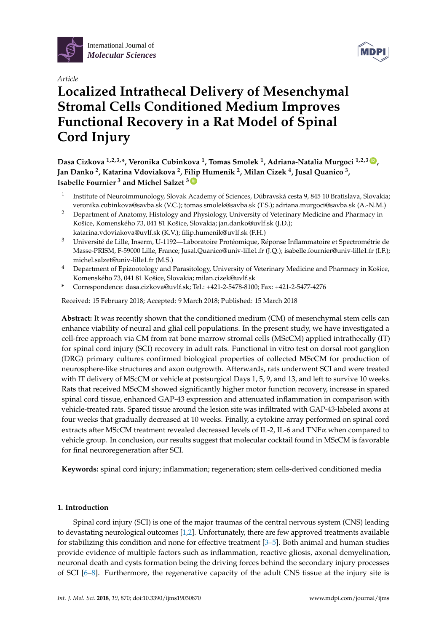





# **Localized Intrathecal Delivery of Mesenchymal Stromal Cells Conditioned Medium Improves Functional Recovery in a Rat Model of Spinal Cord Injury**

**Dasa Cizkova 1,2,3,\*, Veronika Cubinkova <sup>1</sup> , Tomas Smolek <sup>1</sup> , Adriana-Natalia Murgoci 1,2,3 [ID](https://orcid.org/0000-0002-4492-6804) , Jan Danko <sup>2</sup> , Katarina Vdoviakova <sup>2</sup> , Filip Humenik <sup>2</sup> , Milan Cizek <sup>4</sup> , Jusal Quanico <sup>3</sup> , Isabelle Fournier <sup>3</sup> and Michel Salzet <sup>3</sup> [ID](https://orcid.org/0000-0003-4318-0817)**

- 1 Institute of Neuroimmunology, Slovak Academy of Sciences, Dúbravská cesta 9, 845 10 Bratislava, Slovakia; veronika.cubinkova@savba.sk (V.C.); tomas.smolek@savba.sk (T.S.); adriana.murgoci@savba.sk (A.-N.M.)
- <sup>2</sup> Department of Anatomy, Histology and Physiology, University of Veterinary Medicine and Pharmacy in Košice, Komenského 73, 041 81 Košice, Slovakia; jan.danko@uvlf.sk (J.D.); katarina.vdoviakova@uvlf.sk (K.V.); filip.humenik@uvlf.sk (F.H.)
- <sup>3</sup> Université de Lille, Inserm, U-1192—Laboratoire Protéomique, Réponse Inflammatoire et Spectrométrie de Masse-PRISM, F-59000 Lille, France; Jusal.Quanico@univ-lille1.fr (J.Q.); isabelle.fournier@univ-lille1.fr (I.F.); michel.salzet@univ-lille1.fr (M.S.)
- <sup>4</sup> Department of Epizootology and Parasitology, University of Veterinary Medicine and Pharmacy in Košice, Komenského 73, 041 81 Košice, Slovakia; milan.cizek@uvlf.sk
- **\*** Correspondence: dasa.cizkova@uvlf.sk; Tel.: +421-2-5478-8100; Fax: +421-2-5477-4276

Received: 15 February 2018; Accepted: 9 March 2018; Published: 15 March 2018

**Abstract:** It was recently shown that the conditioned medium (CM) of mesenchymal stem cells can enhance viability of neural and glial cell populations. In the present study, we have investigated a cell-free approach via CM from rat bone marrow stromal cells (MScCM) applied intrathecally (IT) for spinal cord injury (SCI) recovery in adult rats. Functional in vitro test on dorsal root ganglion (DRG) primary cultures confirmed biological properties of collected MScCM for production of neurosphere-like structures and axon outgrowth. Afterwards, rats underwent SCI and were treated with IT delivery of MScCM or vehicle at postsurgical Days 1, 5, 9, and 13, and left to survive 10 weeks. Rats that received MScCM showed significantly higher motor function recovery, increase in spared spinal cord tissue, enhanced GAP-43 expression and attenuated inflammation in comparison with vehicle-treated rats. Spared tissue around the lesion site was infiltrated with GAP-43-labeled axons at four weeks that gradually decreased at 10 weeks. Finally, a cytokine array performed on spinal cord extracts after MScCM treatment revealed decreased levels of IL-2, IL-6 and TNFα when compared to vehicle group. In conclusion, our results suggest that molecular cocktail found in MScCM is favorable for final neuroregeneration after SCI.

**Keywords:** spinal cord injury; inflammation; regeneration; stem cells-derived conditioned media

#### **1. Introduction**

Spinal cord injury (SCI) is one of the major traumas of the central nervous system (CNS) leading to devastating neurological outcomes [\[1,](#page-11-0)[2\]](#page-11-1). Unfortunately, there are few approved treatments available for stabilizing this condition and none for effective treatment [\[3–](#page-11-2)[5\]](#page-11-3). Both animal and human studies provide evidence of multiple factors such as inflammation, reactive gliosis, axonal demyelination, neuronal death and cysts formation being the driving forces behind the secondary injury processes of SCI [\[6–](#page-11-4)[8\]](#page-11-5). Furthermore, the regenerative capacity of the adult CNS tissue at the injury site is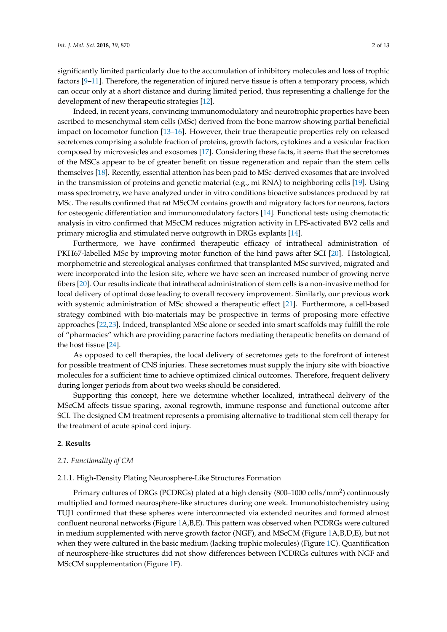significantly limited particularly due to the accumulation of inhibitory molecules and loss of trophic factors [\[9–](#page-11-6)[11\]](#page-11-7). Therefore, the regeneration of injured nerve tissue is often a temporary process, which can occur only at a short distance and during limited period, thus representing a challenge for the development of new therapeutic strategies [\[12\]](#page-11-8).

Indeed, in recent years, convincing immunomodulatory and neurotrophic properties have been ascribed to mesenchymal stem cells (MSc) derived from the bone marrow showing partial beneficial impact on locomotor function [\[13–](#page-11-9)[16\]](#page-11-10). However, their true therapeutic properties rely on released secretomes comprising a soluble fraction of proteins, growth factors, cytokines and a vesicular fraction composed by microvesicles and exosomes [\[17\]](#page-12-0). Considering these facts, it seems that the secretomes of the MSCs appear to be of greater benefit on tissue regeneration and repair than the stem cells themselves [\[18\]](#page-12-1). Recently, essential attention has been paid to MSc-derived exosomes that are involved in the transmission of proteins and genetic material (e.g., mi RNA) to neighboring cells [\[19\]](#page-12-2). Using mass spectrometry, we have analyzed under in vitro conditions bioactive substances produced by rat MSc. The results confirmed that rat MScCM contains growth and migratory factors for neurons, factors for osteogenic differentiation and immunomodulatory factors [\[14\]](#page-11-11). Functional tests using chemotactic analysis in vitro confirmed that MScCM reduces migration activity in LPS-activated BV2 cells and primary microglia and stimulated nerve outgrowth in DRGs explants [\[14\]](#page-11-11).

Furthermore, we have confirmed therapeutic efficacy of intrathecal administration of PKH67-labelled MSc by improving motor function of the hind paws after SCI [\[20\]](#page-12-3). Histological, morphometric and stereological analyses confirmed that transplanted MSc survived, migrated and were incorporated into the lesion site, where we have seen an increased number of growing nerve fibers [\[20\]](#page-12-3). Our results indicate that intrathecal administration of stem cells is a non-invasive method for local delivery of optimal dose leading to overall recovery improvement. Similarly, our previous work with systemic administration of MSc showed a therapeutic effect [\[21\]](#page-12-4). Furthermore, a cell-based strategy combined with bio-materials may be prospective in terms of proposing more effective approaches [\[22](#page-12-5)[,23\]](#page-12-6). Indeed, transplanted MSc alone or seeded into smart scaffolds may fulfill the role of "pharmacies" which are providing paracrine factors mediating therapeutic benefits on demand of the host tissue [\[24\]](#page-12-7).

As opposed to cell therapies, the local delivery of secretomes gets to the forefront of interest for possible treatment of CNS injuries. These secretomes must supply the injury site with bioactive molecules for a sufficient time to achieve optimized clinical outcomes. Therefore, frequent delivery during longer periods from about two weeks should be considered.

Supporting this concept, here we determine whether localized, intrathecal delivery of the MScCM affects tissue sparing, axonal regrowth, immune response and functional outcome after SCI. The designed CM treatment represents a promising alternative to traditional stem cell therapy for the treatment of acute spinal cord injury.

#### **2. Results**

#### *2.1. Functionality of CM*

#### 2.1.1. High-Density Plating Neurosphere-Like Structures Formation

Primary cultures of DRGs (PCDRGs) plated at a high density (800–1000 cells/mm<sup>2</sup> ) continuously multiplied and formed neurosphere-like structures during one week. Immunohistochemistry using TUJ1 confirmed that these spheres were interconnected via extended neurites and formed almost confluent neuronal networks (Figure [1A](#page-2-0),B,E). This pattern was observed when PCDRGs were cultured in medium supplemented with nerve growth factor (NGF), and MScCM (Figure [1A](#page-2-0),B,D,E), but not when they were cultured in the basic medium (lacking trophic molecules) (Figure [1C](#page-2-0)). Quantification of neurosphere-like structures did not show differences between PCDRGs cultures with NGF and MScCM supplementation (Figure [1F](#page-2-0)).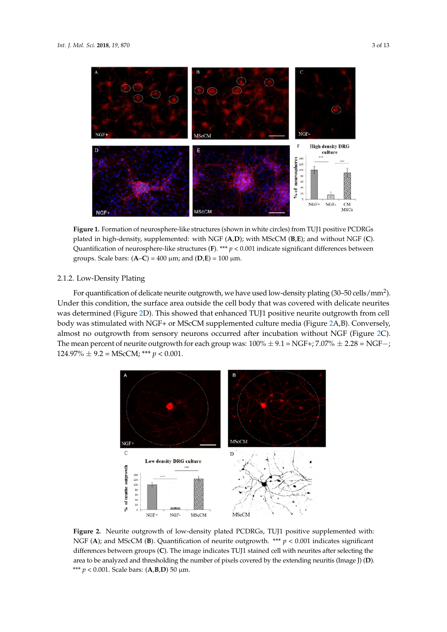<span id="page-2-0"></span>

**Figure 1.** Formation of neurosphere-like structures (shown in white circles) from TUJ1 positive PCDRGs plated in high-density, supplemented: with NGF (**A**,**D**); with MScCM (**B**,**E**); and without NGF (**C**). Quantification of neurosphere-like structures (**F**). \*\*\*  $p < 0.001$  indicate significant differences between groups. Scale bars:  $(A-C) = 400 \mu m$ ; and  $(D,E) = 100 \mu m$ . NGF (**C**). Quantification of neurosphere-like structures (**F**). \*\*\* *p* < 0.001 indicate significant differences

#### 2.1.2. Low-Density Plating between groups. Scale bars: (**A**–**C**) = 400 μm; and (**D**,**E**) = 100 μm.

For quantification of delicate neurite outgrowth, we have used low-density plating (30–50 cells/mm<sup>2</sup>). Under this condition, the surface area outside the cell body that was covered with delicate neurites was determined (Figure [2D](#page-2-1)). This showed that enhanced TUJ1 positive neurite outgrowth from cell body was stimulated with NGF+ or MScCM supplemented culture media (Figure [2A](#page-2-1),B). Conversely, almost no outgrowth from sensory neurons occurred after incubation without NGF (Figure [2C](#page-2-1)). The mean percent of neurite outgrowth for each group was:  $100\% \pm 9.1 = \text{NGF} +$ ;  $7.07\% \pm 2.28 = \text{NGF} -$ ; 124.97% ± 9.2 = MScCM; \*\*\* *p* < 0.001.  $\frac{1}{2}$  . The mean percent of neurite outgrowth for each group was: 100  $\frac{1}{2}$  9.1 = 1801 +; 7.07  $\frac{1}{2}$   $\pm$  2.20 = 188

<span id="page-2-1"></span>

**Figure 2.** Neurite outgrowth of low-density plated PCDRGs, TUJ1 positive supplemented with: NGF (A); and MScCM (B). Quantification of neurite outgrowth. \*\*\*  $p < 0.001$  indicates significant differences between groups (C). The image indicates TUJ1 stained cell with neurites after selecting the area to be analyzed and thresholding the number of pixels covered by the extending neuritis (Image J) (**D**). *p* < 0.001. Scale bars: (**A**,**B**,**D**) 50 μm. \*\*\* *p* < 0.001. Scale bars: (**A**,**B**,**D**) 50 µm.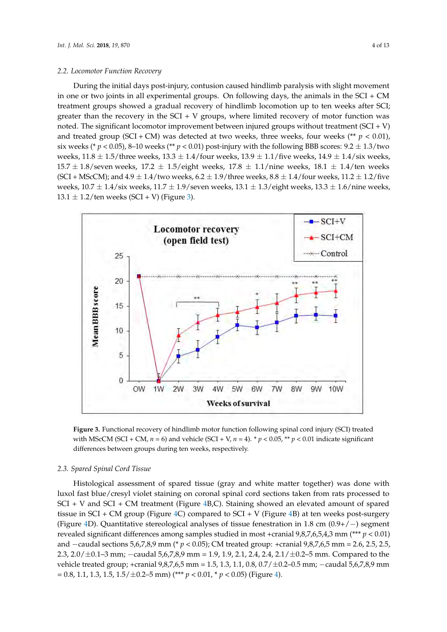### *2.2. Locomotor Function Recovery 2.2. Locomotor Function Recovery*

During the initial days post-injury, contusion caused hindlimb paralysis with slight movement During the initial days post-injury, contusion caused hindlimb paralysis with slight movement in one or two joints in all experimental groups. On following days, the animals in the SCI + CM treatment groups showed a gradual recovery of hindlimb locomotion up to ten weeks after SCI; treatment groups showed a gradual recovery of hindlimb locomotion up to ten weeks after SCI; greater than the recovery in the SCI + V groups, where limited recovery of motor function was noted. The significant locomotor improvement between injured groups without treatment  $(SCI + V)$ and treated group (SCI + CM) was detected at two weeks, three weeks, four weeks (\*\*  $p < 0.01$ ), six weeks (\*  $p < 0.05$ ), 8–10 weeks (\*\*  $p < 0.01$ ) post-injury with the following BBB scores: 9.2  $\pm$  1.3/two weeks,  $11.8 \pm 1.5$ /three weeks,  $13.3 \pm 1.4$ /four weeks,  $13.9 \pm 1.1$ /five weeks,  $14.9 \pm 1.4$ /six weeks, 15.7  $\pm$  1.8/seven weeks, 17.2  $\pm$  1.5/eight weeks, 17.8  $\pm$  1.1/nine weeks, 18.1  $\pm$  1.4/ten weeks (SCI + MScCM); and  $4.9 \pm 1.4$ /two weeks,  $6.2 \pm 1.9$ /three weeks,  $8.8 \pm 1.4$ /four weeks,  $11.2 \pm 1.2$ /five weeks,  $10.7 \pm 1.4$ /six weeks,  $11.7 \pm 1.9$ /seven weeks,  $13.1 \pm 1.3$ /eight weeks,  $13.3 \pm 1.6$ /nine weeks,  $13.1 \pm 1.2$ /ten weeks (SCI + V) (Figure [3\)](#page-3-0).

<span id="page-3-0"></span>

**Figure 3.** Functional recovery of hindlimb motor function following spinal cord injury (SCI) treated **Figure 3.** Functional recovery of hindlimb motor function following spinal cord injury (SCI) treated with MScCM (SCI + CM,  $n = 6$ ) and vehicle (SCI + V,  $n = 4$ ). \*  $p < 0.05$ , \*\*  $p < 0.01$  indicate significant differences between groups during ten weeks, respectively. differences between groups during ten weeks, respectively.

#### *2.3. Spared Spinal Cord Tissue 2.3. Spared Spinal Cord Tissue*

Histological assessment of spared tissue (gray and white matter together) was done with luxol fast blue/cresyl violet staining on coronal spinal cord sections taken from rats processed to SCI + V and SCI + CM treatment (Figure 4B,C). Staining showed an elevated amount of spared tissue in SCI + CM group (Figure 4C) compared to SCI + V (Figure 4B) at ten weeks post-surgery (Figure 4D). Quantitative stereological analyses of tissue fenestration in 1.8 cm  $(0.9+/-)$  segment revealed significant differences among samples studied in most +cranial  $9,8,7,6,5,4,3$  mm (\*\*\*  $p < 0.01$ ) and  $-$ caudal sections 5,6,7,8,9 mm (\*  $p < 0.05$ ); CM treated group: +cranial 9,8,7,6,5 mm = 2.6, 2.5, 2.5, 2.3, 2.0/ $\pm$ 0.1–3 mm; −caudal 5,6,7,8,9 mm = 1.9, 1.9, 2.1, 2.4, 2.4, 2.1/ $\pm$ 0.2–5 mm. Compared to the tehicle treated group; +cranial 9,8,7,6,5 mm = 1.5, 1.3, 1.1, 0.8, 0.7/±0.2–0.5 mm; −caudal 5,6,7,8,9 mm =  $= 0.8, 1.1, 1.3, 1.5, 1.5/\pm 0.2-5$  mm) (\*\*\*  $p < 0.01$ , \*  $p < 0.05$ ) (Figure 4). Histological assessment of spared tissue (gray and white matter together) was done with luxol fast blue/cresyl violet staining on coronal spinal cord sections taken from rats processed to SCI + V and SCI + CM treatment (F 2.3, 2.0/ $\pm$ 0.1–3 mm; -caudal 5,6,7,8,9 mm = 1.9, 1.9, 2.1, 2.4, 2.4, 2.1/ $\pm$ 0.2–5 mm. Compared to the vehicle treated group; +cranial 9,8,7,6,5 mm = 1.5, 1.3, 1.1, 0.8, 0.7/ $\pm$ 0.2–0.5 mm; -caudal 5,6,7,8,9 mm = 0.8, 1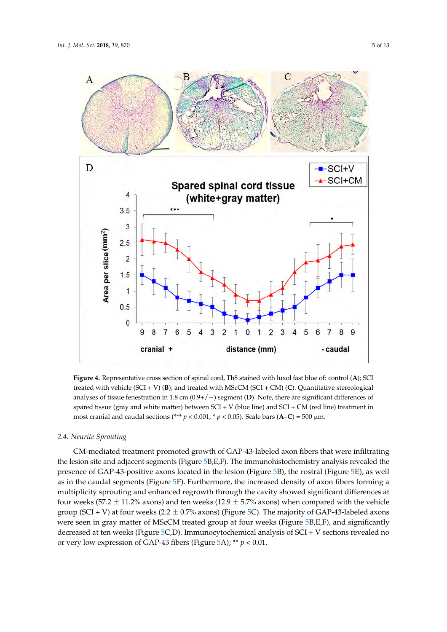<span id="page-4-0"></span>

Figure 4. Representative cross section of spinal cord, Th8 stained with luxol fast blue of: control (A); SCI treated with vehicle (SCI + V) (B); and treated with MScCM (SCI + CM) (C). Quantitative stereological analyses of tissue fenestration in  $1.8$  cm  $(0.9+/-)$  segment (D). Note, there are significant differences of spared tissue (gray and white matter) between SCI + V (blue line) and SCI + CM (red line) treatment in most cranial and caudal sections (\*\*\*  $p < 0.001$ , \*  $p < 0.05$ ). Scale bars (A–C) = 500 µm.

## *2.4. Neurite Sprouting 2.4. Neurite Sprouting*

CM-mediated treatment promoted growth of GAP-43-labeled axon fibers that were infiltrating CM-mediated treatment promoted growth of GAP-43-labeled axon fibers that were infiltrating the lesion site and adjacent segments (Figure 5B,E,F). The immunohistochemistry analysis revealed the lesion site and adjacent segments (Figure [5B](#page-5-0),E,F). The immunohistochemistry analysis revealed the presence of GAP-43-positive axons located in the lesion (Figure [5B](#page-5-0)), the rostral (Figure [5E](#page-5-0)), as well as in the caudal segments (Figure [5F](#page-5-0)). Furthermore, the increased density of axon fibers forming a a multiplicity sprouting and enhanced regrowth through the cavity showed significant differences at multiplicity sprouting and enhanced regrowth through the cavity showed significant differences at four weeks (57.2  $\pm$  11.2% axons) and ten weeks (12.9  $\pm$  5.7% axons) when compared with the vehicle group (SCI + V) at four weeks (2.2  $\pm$  0.7% axons) (Figure [5C](#page-5-0)). The majority of GAP-43-labeled axons were seen in gray matter of MScCM treated group at four weeks (Figure 5B,E,F), and significantly were seen in gray matter of MScCM treated group at four weeks (Figure [5B](#page-5-0),E,F), and significantly decreased at ten weeks (Figure 5C,D). Immunocytochemical analysis of SCI + V sections revealed no decreased at ten weeks (Figure [5C](#page-5-0),D). Immunocytochemical analysis of SCI + V sections revealed no or very low expression of GAP-43 fibers (Figure 5A); \*\* *p* < 0.01). or very low expression of GAP-43 fibers (Figure [5A](#page-5-0)); \*\* *p* < 0.01.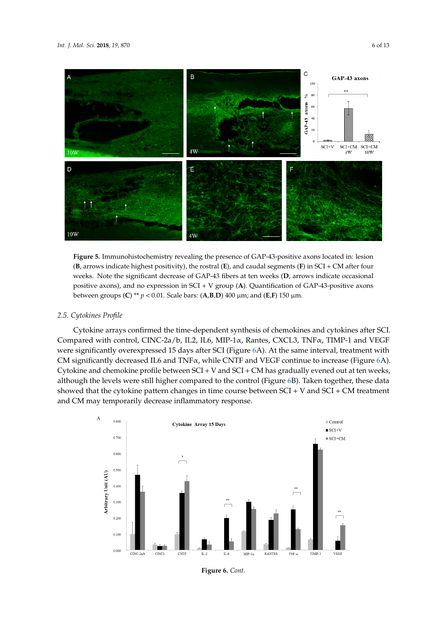<span id="page-5-0"></span>

**Figure 5.** Immunohistochemistry revealing the presence of GAP-43-positive axons located in: lesion **Figure 5.** Immunohistochemistry revealing the presence of GAP-43-positive axons located in: lesion (**B**, arrows indicate highest positivity), the rostral (**E**), and caudal segments (**F**) in SCI + CM after four weeks. Note the significant decrease of GAP-43 fibers at ten weeks (D, arrows indicate occasional positive axons), and no expression in SCI + V group (A). Quantification of GAP-43-positive axons between groups (C) \*\*  $p < 0.01$ . Scale bars: (A,B,D) 400  $\mu$ m; and (E,F) 150  $\mu$ m.

## *2.5. Cytokines Profile 2.5. Cytokines Profile 2.5. Cytokines Profile*

Cytokine arrays confirmed the time-dependent synthesis of chemokines and cytokines after SCI. Cytokine arrays confirmed the time-dependent synthesis of chemokines and cytokines after SCI. Cylistic drings committed the time dependent symmetric of elementines and cylistics drief sets.<br>Compared with control, CINC-2a/b, IL2, IL6, MIP-1 $\alpha$ , Rantes, CXCL3, TNF $\alpha$ , TIMP-1 and VEGF were significantly overexpressed 15 days after SCI (Figure 6[A](#page-6-0)). At the same interval, treatment with CM significantly decreased IL6 and TNF<sub>a</sub>, while CNTF and VEGF continue to increase (Figure [6A](#page-6-0)). Cytokine and chemokine profile between SCI + V and SCI + CM has gradually evened out at ten weeks, although the levels were still higher compared to the control (F[igu](#page-6-0)re 6B). Taken together, these data showed that the cytokine pattern changes in time course between  $SCI + V$  and  $SCI + CM$  treatment and CM may temporarily decrease inflammatory response.  $\alpha$ ared with control, CINC-2a/b, IL2, IL6, MIP-1 $\alpha$ , Rantes, CACL3, TNF $\alpha$ , TIMP-1 and VEGF were  $\alpha$ 



**Figure 6.** *Cont.*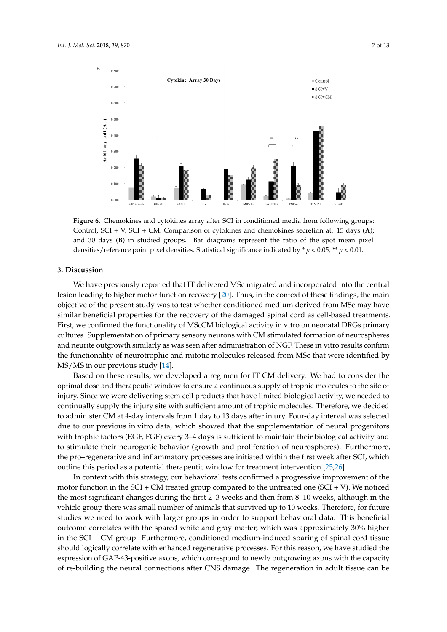<span id="page-6-0"></span>

**Figure 6.** Chemokines and cytokines array after SCI in conditioned media from following groups: **Figure 6.** Chemokines and cytokines array after SCI in conditioned media from following groups: Control, SCI + V, SCI + CM. Comparison of cytokines and chemokines secretion at: 15 days (A); 30 days (**B**) in studied groups. Bar diagrams represent the ratio of the spot mean pixel and 30 days (**B**) in studied groups. Bar diagrams represent the ratio of the spot mean pixel densities/reference point pixel densities. Statistical significance indicated by  $p < 0.05$ ,  $\ast p < 0.01$ .

## **3. Discussion 3. Discussion**

We have previously reported that IT delivered MSc migrated and incorporated into the central We have previously reported that IT delivered MSc migrated and incorporated into the central lesion leading to higher motor function recovered recovery  $\frac{1}{20}$ . Thus, in the main  $\frac{1}{20}$ lesion leading to higher motor function recovery  $[20]$ . Thus, in the context of these findings, the main objective of the present study was to test whether conditioned medium derived from MSc may have similar beneficial properties for the recovery of the damaged spinal cord as cell-based treatments. First, we confirmed the functionality of MScCM biological activity in vitro on neonatal DRGs primary cultures. Supplementation of primary sensory neurons with CM stimulated formation of neurospheres and neurite outgrowth similarly as was seen after administration of NGF. These in vitro results confirm the functionality of neurotrophic and mitotic molecules released from MSc that were identified by MS/MS in our previous study [\[14\]](#page-11-11).

Based on these results, we developed a regimen for IT CM delivery. We had to consider the of injury. Since the term cell products that have limited biological activity, we need to concern the distribution of the distribution of the distribution of the distribution of the distribution of the distribution of the optimal dose and therapeutic window to ensure a continuous supply of trophic molecules to the site of injury. Since we were delivering stem cell products that have limited biological activity, we needed to continually supply the injury site with sufficient amount of trophic molecules. Therefore, we decided to administer CM at 4-day intervals from 1 day to 13 days after injury. Four-day interval was selected due to our previous in vitro data, which showed that the supplementation of neural progenitors with trophic factors (EGF, FGF) every 3-4 days is sufficient to maintain their biological activity and to stimulate their neurogenic behavior (growth and proliferation of neurospheres). Furthermore, the pro–regenerative and inflammatory processes are initiated within the first week after SCI, which outline this period as a potential therapeutic window for treatment intervention [\[25](#page-12-8)[,26\]](#page-12-9).  $\frac{m}{\sqrt{2}}$  to the SCI  $\frac{m}{\sqrt{2}}$  treated group compared to the unit virtual  $\frac{m}{\sqrt{2}}$ .

In context with this strategy, our behavioral tests confirmed a progressive improvement of the<br>motor function in the SCI + CM treated group compared to the untreated one (SCI + V). We noticed the most significant changes during the first 2–3 weeks and then from 8–10 weeks, although in the vehicle group there was small number of animals that survived up to 10 weeks. Therefore, for future studies we need to work with larger groups in order to support behavioral data. This beneficial outcome correlates with the spared white and gray matter, which was approximately 30% higher in the SCI + CM group. Furthermore, conditioned medium-induced sparing of spinal cord tissue should logically correlate with enhanced regenerative processes. For this reason, we have studied the expression of GAP-43-positive axons, which correspond to newly outgrowing axons with the capacity of re-building the neural connections after CNS damage. The regeneration in adult tissue can be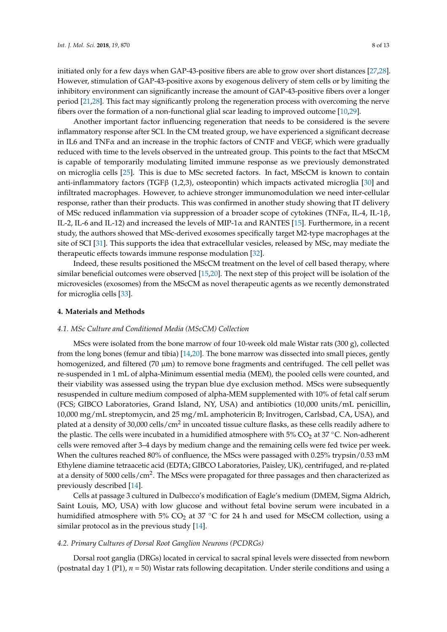initiated only for a few days when GAP-43-positive fibers are able to grow over short distances [\[27](#page-12-10)[,28\]](#page-12-11). However, stimulation of GAP-43-positive axons by exogenous delivery of stem cells or by limiting the inhibitory environment can significantly increase the amount of GAP-43-positive fibers over a longer period [\[21](#page-12-4)[,28\]](#page-12-11). This fact may significantly prolong the regeneration process with overcoming the nerve fibers over the formation of a non-functional glial scar leading to improved outcome [\[10](#page-11-12)[,29\]](#page-12-12).

Another important factor influencing regeneration that needs to be considered is the severe inflammatory response after SCI. In the CM treated group, we have experienced a significant decrease in IL6 and TNFα and an increase in the trophic factors of CNTF and VEGF, which were gradually reduced with time to the levels observed in the untreated group. This points to the fact that MScCM is capable of temporarily modulating limited immune response as we previously demonstrated on microglia cells [\[25\]](#page-12-8). This is due to MSc secreted factors. In fact, MScCM is known to contain anti-inflammatory factors (TGF $\beta$  (1,2,3), osteopontin) which impacts activated microglia [\[30\]](#page-12-13) and infiltrated macrophages. However, to achieve stronger immunomodulation we need inter-cellular response, rather than their products. This was confirmed in another study showing that IT delivery of MSc reduced inflammation via suppression of a broader scope of cytokines (TNFα, IL-4, IL-1β, IL-2, IL-6 and IL-12) and increased the levels of MIP-1 $\alpha$  and RANTES [\[15\]](#page-11-13). Furthermore, in a recent study, the authors showed that MSc-derived exosomes specifically target M2-type macrophages at the site of SCI [\[31\]](#page-12-14). This supports the idea that extracellular vesicles, released by MSc, may mediate the therapeutic effects towards immune response modulation [\[32\]](#page-12-15).

Indeed, these results positioned the MScCM treatment on the level of cell based therapy, where similar beneficial outcomes were observed [\[15](#page-11-13)[,20\]](#page-12-3). The next step of this project will be isolation of the microvesicles (exosomes) from the MScCM as novel therapeutic agents as we recently demonstrated for microglia cells [\[33\]](#page-12-16).

#### **4. Materials and Methods**

#### *4.1. MSc Culture and Conditioned Media (MScCM) Collection*

MScs were isolated from the bone marrow of four 10-week old male Wistar rats (300 g), collected from the long bones (femur and tibia) [\[14,](#page-11-11)[20\]](#page-12-3). The bone marrow was dissected into small pieces, gently homogenized, and filtered (70  $\mu$ m) to remove bone fragments and centrifuged. The cell pellet was re-suspended in 1 mL of alpha-Minimum essential media (MEM), the pooled cells were counted, and their viability was assessed using the trypan blue dye exclusion method. MScs were subsequently resuspended in culture medium composed of alpha-MEM supplemented with 10% of fetal calf serum (FCS; GIBCO Laboratories, Grand Island, NY, USA) and antibiotics (10,000 units/mL penicillin, 10,000 mg/mL streptomycin, and 25 mg/mL amphotericin B; Invitrogen, Carlsbad, CA, USA), and plated at a density of 30,000 cells/cm $^2$  in uncoated tissue culture flasks, as these cells readily adhere to the plastic. The cells were incubated in a humidified atmosphere with  $5\%$  CO<sub>2</sub> at 37 °C. Non-adherent cells were removed after 3–4 days by medium change and the remaining cells were fed twice per week. When the cultures reached 80% of confluence, the MScs were passaged with 0.25% trypsin/0.53 mM Ethylene diamine tetraacetic acid (EDTA; GIBCO Laboratories, Paisley, UK), centrifuged, and re-plated at a density of 5000 cells/cm<sup>2</sup>. The MScs were propagated for three passages and then characterized as previously described [\[14\]](#page-11-11).

Cells at passage 3 cultured in Dulbecco's modification of Eagle's medium (DMEM, Sigma Aldrich, Saint Louis, MO, USA) with low glucose and without fetal bovine serum were incubated in a humidified atmosphere with 5%  $CO<sub>2</sub>$  at 37 °C for 24 h and used for MScCM collection, using a similar protocol as in the previous study [\[14\]](#page-11-11).

#### *4.2. Primary Cultures of Dorsal Root Ganglion Neurons (PCDRGs)*

Dorsal root ganglia (DRGs) located in cervical to sacral spinal levels were dissected from newborn (postnatal day 1 (P1), *n* = 50) Wistar rats following decapitation. Under sterile conditions and using a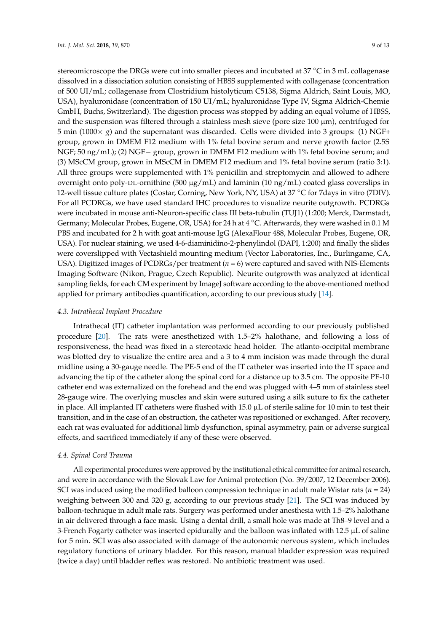stereomicroscope the DRGs were cut into smaller pieces and incubated at 37 °C in 3 mL collagenase dissolved in a dissociation solution consisting of HBSS supplemented with collagenase (concentration of 500 UI/mL; collagenase from Clostridium histolyticum C5138, Sigma Aldrich, Saint Louis, MO, USA), hyaluronidase (concentration of 150 UI/mL; hyaluronidase Type IV, Sigma Aldrich-Chemie GmbH, Buchs, Switzerland). The digestion process was stopped by adding an equal volume of HBSS, and the suspension was filtered through a stainless mesh sieve (pore size  $100 \mu m$ ), centrifuged for 5 min (1000 $\times$  *g*) and the supernatant was discarded. Cells were divided into 3 groups: (1) NGF+ group, grown in DMEM F12 medium with 1% fetal bovine serum and nerve growth factor (2.5S NGF; 50 ng/mL); (2) NGF− group, grown in DMEM F12 medium with 1% fetal bovine serum; and (3) MScCM group, grown in MScCM in DMEM F12 medium and 1% fetal bovine serum (ratio 3:1). All three groups were supplemented with 1% penicillin and streptomycin and allowed to adhere overnight onto poly-DL-ornithine (500  $\mu$ g/mL) and laminin (10 ng/mL) coated glass coverslips in 12-well tissue culture plates (Costar, Corning, New York, NY, USA) at 37 ◦C for 7days in vitro (7DIV). For all PCDRGs, we have used standard IHC procedures to visualize neurite outgrowth. PCDRGs were incubated in mouse anti-Neuron-specific class III beta-tubulin (TUJ1) (1:200; Merck, Darmstadt, Germany; Molecular Probes, Eugene, OR, USA) for 24 h at 4 ◦C. Afterwards, they were washed in 0.1 M PBS and incubated for 2 h with goat anti-mouse IgG (AlexaFlour 488, Molecular Probes, Eugene, OR, USA). For nuclear staining, we used 4-6-diaminidino-2-phenylindol (DAPI, 1:200) and finally the slides were coverslipped with Vectashield mounting medium (Vector Laboratories, Inc., Burlingame, CA, USA). Digitized images of PCDRGs/per treatment (*n* = 6) were captured and saved with NIS-Elements Imaging Software (Nikon, Prague, Czech Republic). Neurite outgrowth was analyzed at identical sampling fields, for each CM experiment by ImageJ software according to the above-mentioned method applied for primary antibodies quantification, according to our previous study [\[14\]](#page-11-11).

#### *4.3. Intrathecal Implant Procedure*

Intrathecal (IT) catheter implantation was performed according to our previously published procedure [\[20\]](#page-12-3). The rats were anesthetized with 1.5–2% halothane, and following a loss of responsiveness, the head was fixed in a stereotaxic head holder. The atlanto-occipital membrane was blotted dry to visualize the entire area and a 3 to 4 mm incision was made through the dural midline using a 30-gauge needle. The PE-5 end of the IT catheter was inserted into the IT space and advancing the tip of the catheter along the spinal cord for a distance up to 3.5 cm. The opposite PE-10 catheter end was externalized on the forehead and the end was plugged with 4–5 mm of stainless steel 28-gauge wire. The overlying muscles and skin were sutured using a silk suture to fix the catheter in place. All implanted IT catheters were flushed with  $15.0 \mu L$  of sterile saline for 10 min to test their transition, and in the case of an obstruction, the catheter was repositioned or exchanged. After recovery, each rat was evaluated for additional limb dysfunction, spinal asymmetry, pain or adverse surgical effects, and sacrificed immediately if any of these were observed.

#### *4.4. Spinal Cord Trauma*

All experimental procedures were approved by the institutional ethical committee for animal research, and were in accordance with the Slovak Law for Animal protection (No. 39/2007, 12 December 2006). SCI was induced using the modified balloon compression technique in adult male Wistar rats ( $n = 24$ ) weighing between 300 and 320 g, according to our previous study [\[21\]](#page-12-4). The SCI was induced by balloon-technique in adult male rats. Surgery was performed under anesthesia with 1.5–2% halothane in air delivered through a face mask. Using a dental drill, a small hole was made at Th8–9 level and a 3-French Fogarty catheter was inserted epidurally and the balloon was inflated with 12.5  $\mu$ L of saline for 5 min. SCI was also associated with damage of the autonomic nervous system, which includes regulatory functions of urinary bladder. For this reason, manual bladder expression was required (twice a day) until bladder reflex was restored. No antibiotic treatment was used.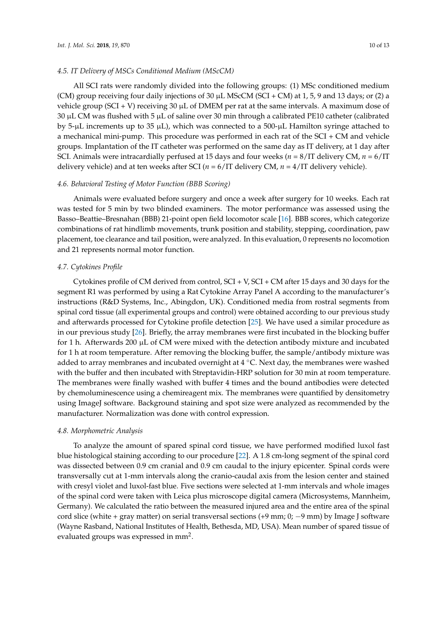#### *4.5. IT Delivery of MSCs Conditioned Medium (MScCM)*

All SCI rats were randomly divided into the following groups: (1) MSc conditioned medium (CM) group receiving four daily injections of  $30 \mu L$  MScCM (SCI + CM) at 1, 5, 9 and 13 days; or (2) a vehicle group (SCI + V) receiving 30 µL of DMEM per rat at the same intervals. A maximum dose of 30  $\mu$ L CM was flushed with 5  $\mu$ L of saline over 30 min through a calibrated PE10 catheter (calibrated by 5-µL increments up to 35 µL), which was connected to a 500-µL Hamilton syringe attached to a mechanical mini-pump. This procedure was performed in each rat of the SCI + CM and vehicle groups. Implantation of the IT catheter was performed on the same day as IT delivery, at 1 day after SCI. Animals were intracardially perfused at 15 days and four weeks (*n* = 8/IT delivery CM, *n* = 6/IT delivery vehicle) and at ten weeks after SCI (*n* = 6/IT delivery CM, *n* = 4/IT delivery vehicle).

#### *4.6. Behavioral Testing of Motor Function (BBB Scoring)*

Animals were evaluated before surgery and once a week after surgery for 10 weeks. Each rat was tested for 5 min by two blinded examiners. The motor performance was assessed using the Basso–Beattie–Bresnahan (BBB) 21-point open field locomotor scale [\[16\]](#page-11-10). BBB scores, which categorize combinations of rat hindlimb movements, trunk position and stability, stepping, coordination, paw placement, toe clearance and tail position, were analyzed. In this evaluation, 0 represents no locomotion and 21 represents normal motor function.

#### *4.7. Cytokines Profile*

Cytokines profile of CM derived from control, SCI + V, SCI + CM after 15 days and 30 days for the segment R1 was performed by using a Rat Cytokine Array Panel A according to the manufacturer's instructions (R&D Systems, Inc., Abingdon, UK). Conditioned media from rostral segments from spinal cord tissue (all experimental groups and control) were obtained according to our previous study and afterwards processed for Cytokine profile detection [\[25\]](#page-12-8). We have used a similar procedure as in our previous study [\[26\]](#page-12-9). Briefly, the array membranes were first incubated in the blocking buffer for 1 h. Afterwards 200  $\mu$ L of CM were mixed with the detection antibody mixture and incubated for 1 h at room temperature. After removing the blocking buffer, the sample/antibody mixture was added to array membranes and incubated overnight at  $4 °C$ . Next day, the membranes were washed with the buffer and then incubated with Streptavidin-HRP solution for 30 min at room temperature. The membranes were finally washed with buffer 4 times and the bound antibodies were detected by chemoluminescence using a chemireagent mix. The membranes were quantified by densitometry using ImageJ software. Background staining and spot size were analyzed as recommended by the manufacturer. Normalization was done with control expression.

#### *4.8. Morphometric Analysis*

To analyze the amount of spared spinal cord tissue, we have performed modified luxol fast blue histological staining according to our procedure [\[22\]](#page-12-5). A 1.8 cm-long segment of the spinal cord was dissected between 0.9 cm cranial and 0.9 cm caudal to the injury epicenter. Spinal cords were transversally cut at 1-mm intervals along the cranio-caudal axis from the lesion center and stained with cresyl violet and luxol-fast blue. Five sections were selected at 1-mm intervals and whole images of the spinal cord were taken with Leica plus microscope digital camera (Microsystems, Mannheim, Germany). We calculated the ratio between the measured injured area and the entire area of the spinal cord slice (white + gray matter) on serial transversal sections (+9 mm; 0; −9 mm) by Image J software (Wayne Rasband, National Institutes of Health, Bethesda, MD, USA). Mean number of spared tissue of evaluated groups was expressed in mm<sup>2</sup>.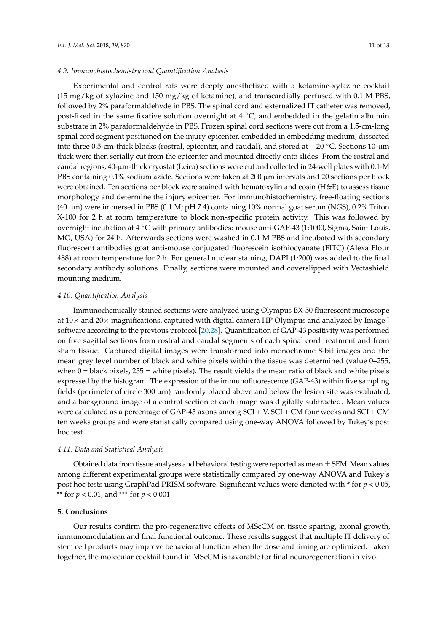Experimental and control rats were deeply anesthetized with a ketamine-xylazine cocktail (15 mg/kg of xylazine and 150 mg/kg of ketamine), and transcardially perfused with 0.1 M PBS, followed by 2% paraformaldehyde in PBS. The spinal cord and externalized IT catheter was removed, post-fixed in the same fixative solution overnight at  $4 °C$ , and embedded in the gelatin albumin substrate in 2% paraformaldehyde in PBS. Frozen spinal cord sections were cut from a 1.5-cm-long spinal cord segment positioned on the injury epicenter, embedded in embedding medium, dissected into three 0.5-cm-thick blocks (rostral, epicenter, and caudal), and stored at −20 ◦C. Sections 10-µm thick were then serially cut from the epicenter and mounted directly onto slides. From the rostral and caudal regions, 40-µm-thick cryostat (Leica) sections were cut and collected in 24-well plates with 0.1-M PBS containing 0.1% sodium azide. Sections were taken at 200 µm intervals and 20 sections per block were obtained. Ten sections per block were stained with hematoxylin and eosin (H&E) to assess tissue morphology and determine the injury epicenter. For immunohistochemistry, free-floating sections (40 µm) were immersed in PBS (0.1 M; pH 7.4) containing 10% normal goat serum (NGS), 0.2% Triton X-100 for 2 h at room temperature to block non-specific protein activity. This was followed by overnight incubation at 4 ◦C with primary antibodies: mouse anti-GAP-43 (1:1000, Sigma, Saint Louis, MO, USA) for 24 h. Afterwards sections were washed in 0.1 M PBS and incubated with secondary fluorescent antibodies goat anti-mouse conjugated fluorescein isothiocyanate (FITC) (Alexa Flour 488) at room temperature for 2 h. For general nuclear staining, DAPI (1:200) was added to the final secondary antibody solutions. Finally, sections were mounted and coverslipped with Vectashield mounting medium.

#### *4.10. Quantification Analysis*

Immunochemically stained sections were analyzed using Olympus BX-50 fluorescent microscope at  $10\times$  and  $20\times$  magnifications, captured with digital camera HP Olympus and analyzed by Image J software according to the previous protocol [\[20](#page-12-3)[,28\]](#page-12-11). Quantification of GAP-43 positivity was performed on five sagittal sections from rostral and caudal segments of each spinal cord treatment and from sham tissue. Captured digital images were transformed into monochrome 8-bit images and the mean grey level number of black and white pixels within the tissue was determined (value 0–255, when  $0 =$  black pixels,  $255 =$  white pixels). The result yields the mean ratio of black and white pixels expressed by the histogram. The expression of the immunofluorescence (GAP-43) within five sampling fields (perimeter of circle  $300 \mu m$ ) randomly placed above and below the lesion site was evaluated, and a background image of a control section of each image was digitally subtracted. Mean values were calculated as a percentage of GAP-43 axons among SCI + V, SCI + CM four weeks and SCI + CM ten weeks groups and were statistically compared using one-way ANOVA followed by Tukey's post hoc test.

#### *4.11. Data and Statistical Analysis*

Obtained data from tissue analyses and behavioral testing were reported as mean  $\pm$  SEM. Mean values among different experimental groups were statistically compared by one-way ANOVA and Tukey's post hoc tests using GraphPad PRISM software. Significant values were denoted with \* for *p* < 0.05, \*\* for *p* < 0.01, and \*\*\* for *p* < 0.001.

#### **5. Conclusions**

Our results confirm the pro-regenerative effects of MScCM on tissue sparing, axonal growth, immunomodulation and final functional outcome. These results suggest that multiple IT delivery of stem cell products may improve behavioral function when the dose and timing are optimized. Taken together, the molecular cocktail found in MScCM is favorable for final neuroregeneration in vivo.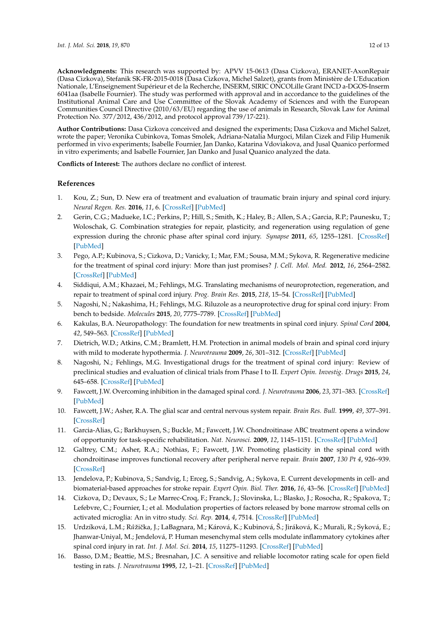**Acknowledgments:** This research was supported by: APVV 15-0613 (Dasa Cizkova), ERANET-AxonRepair (Dasa Cizkova), Stefanik SK-FR-2015-0018 (Dasa Cizkova, Michel Salzet), grants from Ministère de L'Education Nationale, L'Enseignement Supérieur et de la Recherche, INSERM, SIRIC ONCOLille Grant INCD a-DGOS-Inserm 6041aa (Isabelle Fournier). The study was performed with approval and in accordance to the guidelines of the Institutional Animal Care and Use Committee of the Slovak Academy of Sciences and with the European Communities Council Directive (2010/63/EU) regarding the use of animals in Research, Slovak Law for Animal Protection No. 377/2012, 436/2012, and protocol approval 739/17-221).

**Author Contributions:** Dasa Cizkova conceived and designed the experiments; Dasa Cizkova and Michel Salzet, wrote the paper; Veronika Cubinkova, Tomas Smolek, Adriana-Natalia Murgoci, Milan Cizek and Filip Humenik performed in vivo experiments; Isabelle Fournier, Jan Danko, Katarina Vdoviakova, and Jusal Quanico performed in vitro experiments; and Isabelle Fournier, Jan Danko and Jusal Quanico analyzed the data.

**Conflicts of Interest:** The authors declare no conflict of interest.

#### **References**

- <span id="page-11-0"></span>1. Kou, Z.; Sun, D. New era of treatment and evaluation of traumatic brain injury and spinal cord injury. *Neural Regen. Res.* **2016**, *11*, 6. [\[CrossRef\]](http://dx.doi.org/10.4103/1673-5374.169600) [\[PubMed\]](http://www.ncbi.nlm.nih.gov/pubmed/26981067)
- <span id="page-11-1"></span>2. Gerin, C.G.; Madueke, I.C.; Perkins, P.; Hill, S.; Smith, K.; Haley, B.; Allen, S.A.; Garcia, R.P.; Paunesku, T.; Woloschak, G. Combination strategies for repair, plasticity, and regeneration using regulation of gene expression during the chronic phase after spinal cord injury. *Synapse* **2011**, *65*, 1255–1281. [\[CrossRef\]](http://dx.doi.org/10.1002/syn.20903) [\[PubMed\]](http://www.ncbi.nlm.nih.gov/pubmed/21308793)
- <span id="page-11-2"></span>3. Pego, A.P.; Kubinova, S.; Cizkova, D.; Vanicky, I.; Mar, F.M.; Sousa, M.M.; Sykova, R. Regenerative medicine for the treatment of spinal cord injury: More than just promises? *J. Cell. Mol. Med.* **2012**, *16*, 2564–2582. [\[CrossRef\]](http://dx.doi.org/10.1111/j.1582-4934.2012.01603.x) [\[PubMed\]](http://www.ncbi.nlm.nih.gov/pubmed/22805417)
- 4. Siddiqui, A.M.; Khazaei, M.; Fehlings, M.G. Translating mechanisms of neuroprotection, regeneration, and repair to treatment of spinal cord injury. *Prog. Brain Res.* **2015**, *218*, 15–54. [\[CrossRef\]](http://dx.doi.org/10.1038/nrn1326) [\[PubMed\]](http://www.ncbi.nlm.nih.gov/pubmed/25890131)
- <span id="page-11-3"></span>5. Nagoshi, N.; Nakashima, H.; Fehlings, M.G. Riluzole as a neuroprotective drug for spinal cord injury: From bench to bedside. *Molecules* **2015**, *20*, 7775–7789. [\[CrossRef\]](http://dx.doi.org/10.3390/molecules20057775) [\[PubMed\]](http://www.ncbi.nlm.nih.gov/pubmed/25939067)
- <span id="page-11-4"></span>6. Kakulas, B.A. Neuropathology: The foundation for new treatments in spinal cord injury. *Spinal Cord* **2004**, *42*, 549–563. [\[CrossRef\]](http://dx.doi.org/10.1038/sj.sc.3101670) [\[PubMed\]](http://www.ncbi.nlm.nih.gov/pubmed/15346131)
- 7. Dietrich, W.D.; Atkins, C.M.; Bramlett, H.M. Protection in animal models of brain and spinal cord injury with mild to moderate hypothermia. *J. Neurotrauma* **2009**, *26*, 301–312. [\[CrossRef\]](http://dx.doi.org/10.1089/neu.2008.0806) [\[PubMed\]](http://www.ncbi.nlm.nih.gov/pubmed/19245308)
- <span id="page-11-5"></span>8. Nagoshi, N.; Fehlings, M.G. Investigational drugs for the treatment of spinal cord injury: Review of preclinical studies and evaluation of clinical trials from Phase I to II. *Expert Opin. Investig. Drugs* **2015**, *24*, 645–658. [\[CrossRef\]](http://dx.doi.org/10.1517/13543784.2015.1009629) [\[PubMed\]](http://www.ncbi.nlm.nih.gov/pubmed/25645889)
- <span id="page-11-6"></span>9. Fawcett, J.W. Overcoming inhibition in the damaged spinal cord. *J. Neurotrauma* **2006**, *23*, 371–383. [\[CrossRef\]](http://dx.doi.org/10.1089/neu.2006.23.371) [\[PubMed\]](http://www.ncbi.nlm.nih.gov/pubmed/16629623)
- <span id="page-11-12"></span>10. Fawcett, J.W.; Asher, R.A. The glial scar and central nervous system repair. *Brain Res. Bull.* **1999**, *49*, 377–391. [\[CrossRef\]](http://dx.doi.org/10.1016/S0361-9230(99)00072-6)
- <span id="page-11-7"></span>11. Garcia-Alias, G.; Barkhuysen, S.; Buckle, M.; Fawcett, J.W. Chondroitinase ABC treatment opens a window of opportunity for task-specific rehabilitation. *Nat. Neurosci.* **2009**, *12*, 1145–1151. [\[CrossRef\]](http://dx.doi.org/10.1038/nn.2377) [\[PubMed\]](http://www.ncbi.nlm.nih.gov/pubmed/19668200)
- <span id="page-11-8"></span>12. Galtrey, C.M.; Asher, R.A.; Nothias, F.; Fawcett, J.W. Promoting plasticity in the spinal cord with chondroitinase improves functional recovery after peripheral nerve repair. *Brain* **2007**, *130 Pt 4*, 926–939. [\[CrossRef\]](http://dx.doi.org/10.1093/brain/awl372)
- <span id="page-11-9"></span>13. Jendelova, P.; Kubinova, S.; Sandvig, I.; Erceg, S.; Sandvig, A.; Sykova, E. Current developments in cell- and biomaterial-based approaches for stroke repair. *Expert Opin. Biol. Ther.* **2016**, *16*, 43–56. [\[CrossRef\]](http://dx.doi.org/10.1517/14712598.2016.1094457) [\[PubMed\]](http://www.ncbi.nlm.nih.gov/pubmed/26419582)
- <span id="page-11-11"></span>14. Cizkova, D.; Devaux, S.; Le Marrec-Croq, F.; Franck, J.; Slovinska, L.; Blasko, J.; Rosocha, R.; Spakova, T.; Lefebvre, C.; Fournier, I.; et al. Modulation properties of factors released by bone marrow stromal cells on activated microglia: An in vitro study. *Sci. Rep.* **2014**, *4*, 7514. [\[CrossRef\]](http://dx.doi.org/10.1038/srep07514) [\[PubMed\]](http://www.ncbi.nlm.nih.gov/pubmed/25524416)
- <span id="page-11-13"></span>15. Urdzíková, L.M.; R*u*˚žiˇcka, J.; LaBagnara, M.; Kárová, K.; Kubinová, Š.; Jiráková, K.; Murali, R.; Syková, E.; Jhanwar-Uniyal, M.; Jendelová, P. Human mesenchymal stem cells modulate inflammatory cytokines after spinal cord injury in rat. *Int. J. Mol. Sci.* **2014**, *15*, 11275–11293. [\[CrossRef\]](http://dx.doi.org/10.3390/ijms150711275) [\[PubMed\]](http://www.ncbi.nlm.nih.gov/pubmed/24968269)
- <span id="page-11-10"></span>16. Basso, D.M.; Beattie, M.S.; Bresnahan, J.C. A sensitive and reliable locomotor rating scale for open field testing in rats. *J. Neurotrauma* **1995**, *12*, 1–21. [\[CrossRef\]](http://dx.doi.org/10.1089/neu.1995.12.1) [\[PubMed\]](http://www.ncbi.nlm.nih.gov/pubmed/7783230)